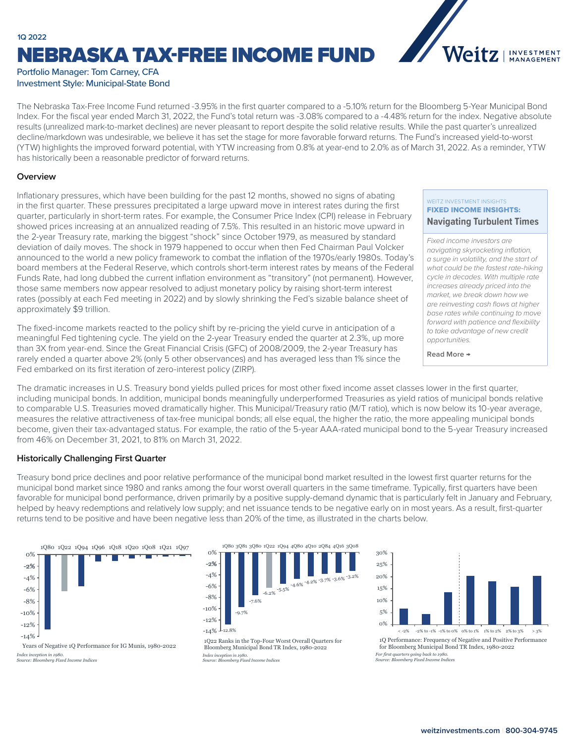# NEBRASKA TAX-FREE INCOME FUND **1Q 2022**



## Portfolio Manager: Tom Carney, CFA Investment Style: Municipal-State Bond

The Nebraska Tax-Free Income Fund returned -3.95% in the first quarter compared to a -5.10% return for the Bloomberg 5-Year Municipal Bond Index. For the fiscal year ended March 31, 2022, the Fund's total return was -3.08% compared to a -4.48% return for the index. Negative absolute results (unrealized mark-to-market declines) are never pleasant to report despite the solid relative results. While the past quarter's unrealized decline/markdown was undesirable, we believe it has set the stage for more favorable forward returns. The Fund's increased yield-to-worst (YTW) highlights the improved forward potential, with YTW increasing from 0.8% at year-end to 2.0% as of March 31, 2022. As a reminder, YTW has historically been a reasonable predictor of forward returns.

#### **Overview**

Inflationary pressures, which have been building for the past 12 months, showed no signs of abating in the first quarter. These pressures precipitated a large upward move in interest rates during the first quarter, particularly in short-term rates. For example, the Consumer Price Index (CPI) release in February showed prices increasing at an annualized reading of 7.5%. This resulted in an historic move upward in the 2-year Treasury rate, marking the biggest "shock" since October 1979, as measured by standard deviation of daily moves. The shock in 1979 happened to occur when then Fed Chairman Paul Volcker announced to the world a new policy framework to combat the inflation of the 1970s/early 1980s. Today's board members at the Federal Reserve, which controls short-term interest rates by means of the Federal Funds Rate, had long dubbed the current inflation environment as "transitory" (not permanent). However, those same members now appear resolved to adjust monetary policy by raising short-term interest rates (possibly at each Fed meeting in 2022) and by slowly shrinking the Fed's sizable balance sheet of approximately \$9 trillion.

The fixed-income markets reacted to the policy shift by re-pricing the yield curve in anticipation of a meaningful Fed tightening cycle. The yield on the 2-year Treasury ended the quarter at 2.3%, up more than 3X from year-end. Since the Great Financial Crisis (GFC) of 2008/2009, the 2-year Treasury has rarely ended a quarter above 2% (only 5 other observances) and has averaged less than 1% since the Fed embarked on its first iteration of zero-interest policy (ZIRP).

# WEITZ INVESTMENT INSIGHTS FIXED INCOME INSIGHTS:

## **[Navigating Turbulent Times](https://weitzinvestments.com/perspectives/investment-insights/a-163/navigating-turbulent-times.fs)**

*Fixed income investors are navigating skyrocketing inflation, a surge in volatility, and the start of what could be the fastest rate-hiking cycle in decades. With multiple rate increases already priced into the market, we break down how we are reinvesting cash flows at higher base rates while continuing to move forward with patience and flexibility to take advantage of new credit opportunities.*

**Read More →**

The dramatic increases in U.S. Treasury bond yields pulled prices for most other fixed income asset classes lower in the first quarter, including municipal bonds. In addition, municipal bonds meaningfully underperformed Treasuries as yield ratios of municipal bonds relative to comparable U.S. Treasuries moved dramatically higher. This Municipal/Treasury ratio (M/T ratio), which is now below its 10-year average, measures the relative attractiveness of tax-free municipal bonds; all else equal, the higher the ratio, the more appealing municipal bonds become, given their tax-advantaged status. For example, the ratio of the 5-year AAA-rated municipal bond to the 5-year Treasury increased from 46% on December 31, 2021, to 81% on March 31, 2022.

## **Historically Challenging First Quarter**

Treasury bond price declines and poor relative performance of the municipal bond market resulted in the lowest first quarter returns for the municipal bond market since 1980 and ranks among the four worst overall quarters in the same timeframe. Typically, first quarters have been favorable for municipal bond performance, driven primarily by a positive supply-demand dynamic that is particularly felt in January and February, helped by heavy redemptions and relatively low supply; and net issuance tends to be negative early on in most years. As a result, first-quarter returns tend to be positive and have been negative less than 20% of the time, as illustrated in the charts below.



Years of Negative 1Q Performance for IG Munis, 1980-2022 *Index inception in 1980. Source: Bloomberg Fixed Income Indices*



1Q22 Ranks in the Top-Four Worst Overall Quarters for Bloomberg Municipal Bond TR Index, 1980-2022 *Index inception in 1980. Source: Bloomberg Fixed Income Indices*



1Q Performance: Frequency of Negative and Positive Performance for Bloomberg Municipal Bond TR Index, 1980-2022 *For first quarters going back to 1980. Source: Bloomberg Fixed Income Indices*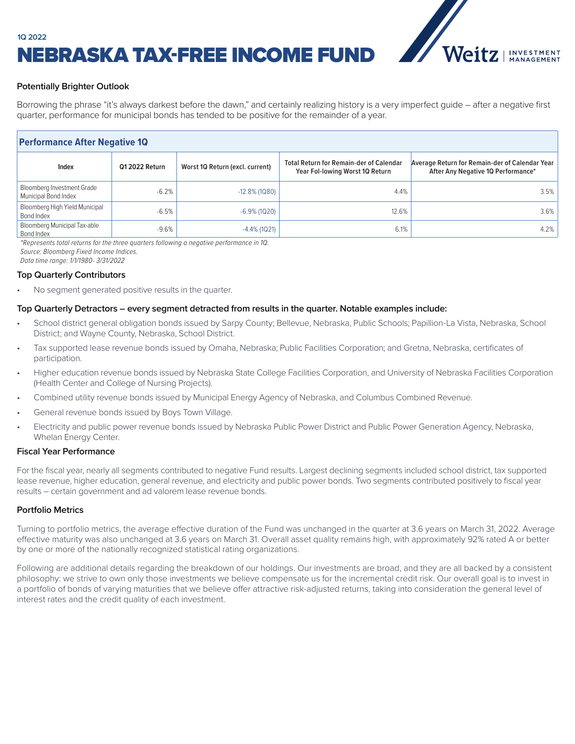

# NEBRASKA TAX-FREE INCOME FUND **1Q 2022**

# **Potentially Brighter Outlook**

Borrowing the phrase "it's always darkest before the dawn," and certainly realizing history is a very imperfect guide – after a negative first quarter, performance for municipal bonds has tended to be positive for the remainder of a year.

# **Performance After Negative 1Q**

| Index                                                     | 01 2022 Return | Worst 10 Return (excl. current) | <b>Total Return for Remain-der of Calendar</b><br>Year Fol-lowing Worst 10 Return | Average Return for Remain-der of Calendar Year<br>After Any Negative 1Q Performance* |
|-----------------------------------------------------------|----------------|---------------------------------|-----------------------------------------------------------------------------------|--------------------------------------------------------------------------------------|
| <b>Bloomberg Investment Grade</b><br>Municipal Bond Index | $-6.2%$        | $-12.8\%$ (1Q80)                | 4.4%                                                                              | 3.5%                                                                                 |
| Bloomberg High Yield Municipal<br>Bond Index              | $-6.5%$        | $-6.9\%$ (1Q20)                 | 12.6%                                                                             | 3.6%                                                                                 |
| Bloomberg Municipal Tax-able<br>Bond Index                | $-9.6%$        | $-4.4\%$ (1Q21)                 | 6.1%                                                                              | 4.2%                                                                                 |

*\*Represents total returns for the three quarters following a negative performance in 1Q. Source: Bloomberg Fixed Income Indices. Data time range: 1/1/1980- 3/31/2022*

#### **Top Quarterly Contributors**

No segment generated positive results in the quarter.

#### **Top Quarterly Detractors – every segment detracted from results in the quarter. Notable examples include:**

- School district general obligation bonds issued by Sarpy County; Bellevue, Nebraska, Public Schools; Papillion-La Vista, Nebraska, School District; and Wayne County, Nebraska, School District.
- Tax supported lease revenue bonds issued by Omaha, Nebraska; Public Facilities Corporation; and Gretna, Nebraska, certificates of participation.
- Higher education revenue bonds issued by Nebraska State College Facilities Corporation, and University of Nebraska Facilities Corporation (Health Center and College of Nursing Projects).
- Combined utility revenue bonds issued by Municipal Energy Agency of Nebraska, and Columbus Combined Revenue.
- General revenue bonds issued by Boys Town Village.
- Electricity and public power revenue bonds issued by Nebraska Public Power District and Public Power Generation Agency, Nebraska, Whelan Energy Center.

#### **Fiscal Year Performance**

For the fiscal year, nearly all segments contributed to negative Fund results. Largest declining segments included school district, tax supported lease revenue, higher education, general revenue, and electricity and public power bonds. Two segments contributed positively to fiscal year results – certain government and ad valorem lease revenue bonds.

#### **Portfolio Metrics**

Turning to portfolio metrics, the average effective duration of the Fund was unchanged in the quarter at 3.6 years on March 31, 2022. Average effective maturity was also unchanged at 3.6 years on March 31. Overall asset quality remains high, with approximately 92% rated A or better by one or more of the nationally recognized statistical rating organizations.

Following are additional details regarding the breakdown of our holdings. Our investments are broad, and they are all backed by a consistent philosophy: we strive to own only those investments we believe compensate us for the incremental credit risk. Our overall goal is to invest in a portfolio of bonds of varying maturities that we believe offer attractive risk-adjusted returns, taking into consideration the general level of interest rates and the credit quality of each investment.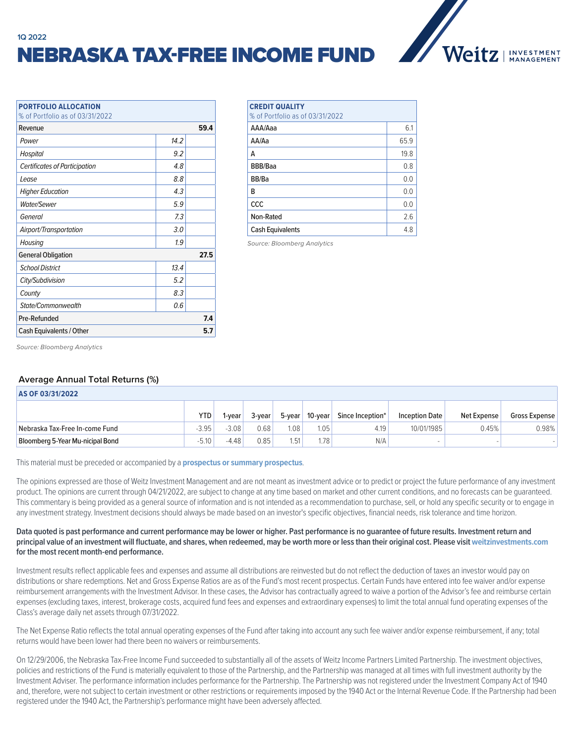# NEBRASKA TAX-FREE INCOME FUND



| <b>PORTFOLIO ALLOCATION</b>          |      |  |  |  |  |  |  |
|--------------------------------------|------|--|--|--|--|--|--|
| % of Portfolio as of 03/31/2022      |      |  |  |  |  |  |  |
| 59.4<br>Revenue                      |      |  |  |  |  |  |  |
| Power                                | 14.2 |  |  |  |  |  |  |
| Hospital                             | 9.2  |  |  |  |  |  |  |
| <b>Certificates of Participation</b> | 4.8  |  |  |  |  |  |  |
| Lease                                | 8.8  |  |  |  |  |  |  |
| <b>Higher Education</b>              | 4.3  |  |  |  |  |  |  |
| <b>Water/Sewer</b>                   | 5.9  |  |  |  |  |  |  |
| General                              | 7.3  |  |  |  |  |  |  |
| Airport/Transportation               | 3.0  |  |  |  |  |  |  |
| Housing                              | 1.9  |  |  |  |  |  |  |
| <b>General Obligation</b>            |      |  |  |  |  |  |  |
| <b>School District</b>               | 13.4 |  |  |  |  |  |  |
| City/Subdivision                     | 5.2  |  |  |  |  |  |  |
| County                               | 8.3  |  |  |  |  |  |  |
| State/Commonwealth                   | 0.6  |  |  |  |  |  |  |
| Pre-Refunded<br>7.4                  |      |  |  |  |  |  |  |
| Cash Equivalents / Other<br>5.7      |      |  |  |  |  |  |  |

| <b>CREDIT QUALITY</b><br>% of Portfolio as of 03/31/2022 |      |  |  |  |
|----------------------------------------------------------|------|--|--|--|
| AAA/Aaa                                                  | 6.1  |  |  |  |
| AA/Aa                                                    | 65.9 |  |  |  |
| A                                                        | 19.8 |  |  |  |
| BBB/Baa                                                  | 0.8  |  |  |  |
| BB/Ba                                                    | 0.0  |  |  |  |
| R                                                        | 0.0  |  |  |  |
| CCC                                                      | 0.0  |  |  |  |
| Non-Rated                                                | 2.6  |  |  |  |
| <b>Cash Equivalents</b>                                  | 4.8  |  |  |  |

*Source: Bloomberg Analytics*

*Source: Bloomberg Analytics*

## **Average Annual Total Returns (%)**

| AS OF 03/31/2022                 |         |         |                   |        |                   |                  |                       |             |               |
|----------------------------------|---------|---------|-------------------|--------|-------------------|------------------|-----------------------|-------------|---------------|
|                                  | YTD     | -vear   | 3-year            | 5-year | 10-year           | Since Inception* | <b>Inception Date</b> | Net Expense | Gross Expense |
| Nebraska Tax-Free In-come Fund   | $-3.95$ | $-3.08$ | 0.68              | 1.08   | 1.05 <sub>1</sub> | 4.19             | 10/01/1985            | 0.45%       | 0.98%         |
| Bloomberg 5-Year Mu-nicipal Bond | $-5.10$ | $-4.48$ | 0.85 <sub>1</sub> | 1.51   | 1.78              | N/A              | $\sim$                |             |               |

This material must be preceded or accompanied by a **[prospectus or summary prospectus](https://weitzinvestments.com/resources/product-literature/default.fs)**.

The opinions expressed are those of Weitz Investment Management and are not meant as investment advice or to predict or project the future performance of any investment product. The opinions are current through 04/21/2022, are subject to change at any time based on market and other current conditions, and no forecasts can be guaranteed. This commentary is being provided as a general source of information and is not intended as a recommendation to purchase, sell, or hold any specific security or to engage in any investment strategy. Investment decisions should always be made based on an investor's specific objectives, financial needs, risk tolerance and time horizon.

#### **Data quoted is past performance and current performance may be lower or higher. Past performance is no guarantee of future results. Investment return and**  principal value of an investment will fluctuate, and shares, when redeemed, may be worth more or less than their original cost. Please visit [weitzinvestments.com](https://weitzinvestments.com/funds/performance.fs) **for the most recent month-end performance.**

Investment results reflect applicable fees and expenses and assume all distributions are reinvested but do not reflect the deduction of taxes an investor would pay on distributions or share redemptions. Net and Gross Expense Ratios are as of the Fund's most recent prospectus. Certain Funds have entered into fee waiver and/or expense reimbursement arrangements with the Investment Advisor. In these cases, the Advisor has contractually agreed to waive a portion of the Advisor's fee and reimburse certain expenses (excluding taxes, interest, brokerage costs, acquired fund fees and expenses and extraordinary expenses) to limit the total annual fund operating expenses of the Class's average daily net assets through 07/31/2022.

The Net Expense Ratio reflects the total annual operating expenses of the Fund after taking into account any such fee waiver and/or expense reimbursement, if any; total returns would have been lower had there been no waivers or reimbursements.

On 12/29/2006, the Nebraska Tax-Free Income Fund succeeded to substantially all of the assets of Weitz Income Partners Limited Partnership. The investment objectives, policies and restrictions of the Fund is materially equivalent to those of the Partnership, and the Partnership was managed at all times with full investment authority by the Investment Adviser. The performance information includes performance for the Partnership. The Partnership was not registered under the Investment Company Act of 1940 and, therefore, were not subject to certain investment or other restrictions or requirements imposed by the 1940 Act or the Internal Revenue Code. If the Partnership had been registered under the 1940 Act, the Partnership's performance might have been adversely affected.